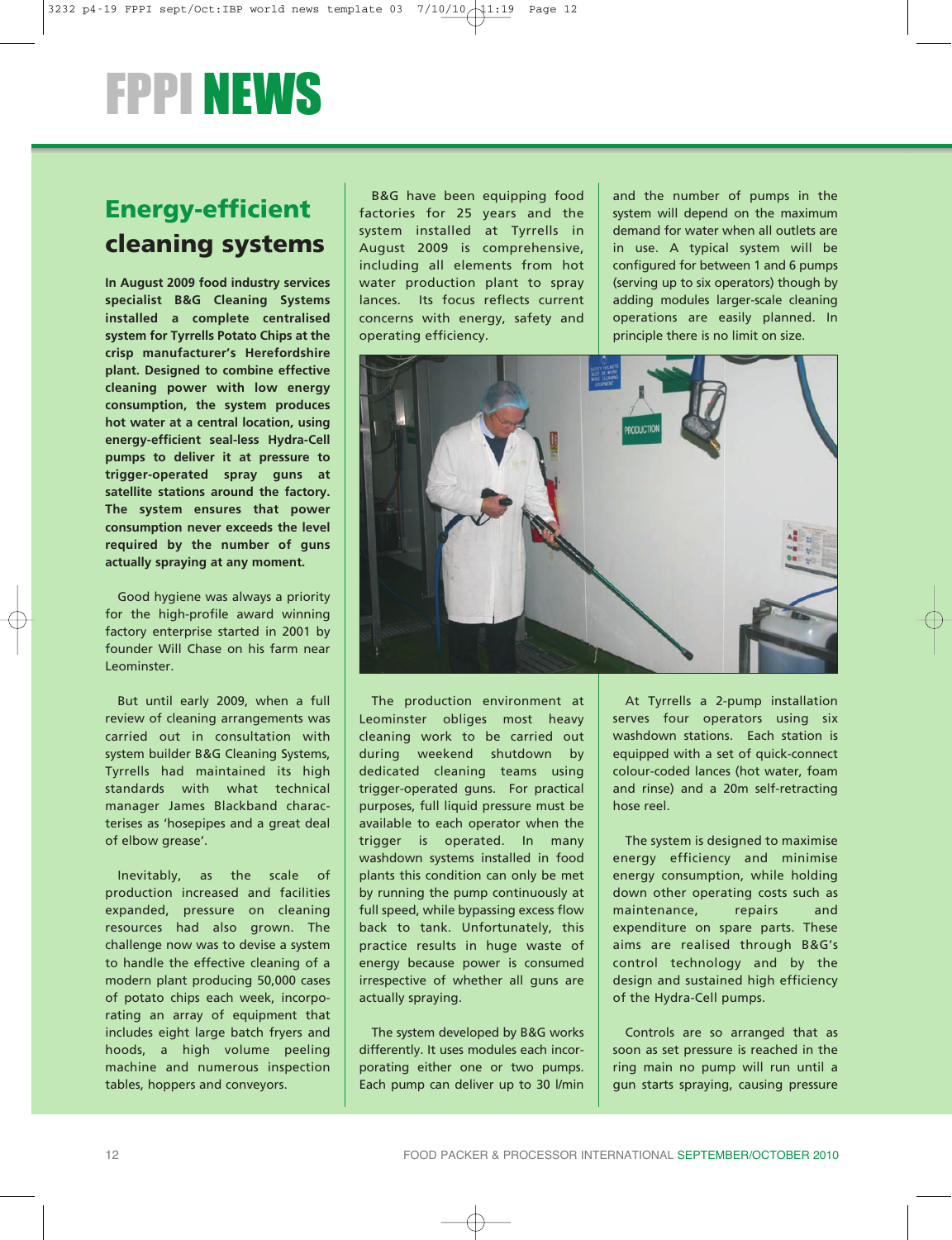## FPPI NEWS

## **Energy-efficient cleaning systems**

**In August 2009 food industry services specialist B&G Cleaning Systems installed a complete centralised system for Tyrrells Potato Chips at the crisp manufacturer's Herefordshire plant. Designed to combine effective cleaning power with low energy consumption, the system produces hot water at a central location, using energy-efficient seal-less Hydra-Cell pumps to deliver it at pressure to trigger-operated spray guns at satellite stations around the factory. The system ensures that power consumption never exceeds the level required by the number of guns actually spraying at any moment.**

Good hygiene was always a priority for the high-profile award winning factory enterprise started in 2001 by founder Will Chase on his farm near Leominster.

But until early 2009, when a full review of cleaning arrangements was carried out in consultation with system builder B&G Cleaning Systems, Tyrrells had maintained its high standards with what technical manager James Blackband characterises as 'hosepipes and a great deal of elbow grease'.

Inevitably, as the scale of production increased and facilities expanded, pressure on cleaning resources had also grown. The challenge now was to devise a system to handle the effective cleaning of a modern plant producing 50,000 cases of potato chips each week, incorporating an array of equipment that includes eight large batch fryers and hoods, a high volume peeling machine and numerous inspection tables, hoppers and conveyors.

B&G have been equipping food factories for 25 years and the system installed at Tyrrells in August 2009 is comprehensive, including all elements from hot water production plant to spray lances. Its focus reflects current concerns with energy, safety and operating efficiency.

and the number of pumps in the system will depend on the maximum demand for water when all outlets are in use. A typical system will be configured for between 1 and 6 pumps (serving up to six operators) though by adding modules larger-scale cleaning operations are easily planned. In principle there is no limit on size.



The production environment at Leominster obliges most heavy cleaning work to be carried out during weekend shutdown by dedicated cleaning teams using trigger-operated guns. For practical purposes, full liquid pressure must be available to each operator when the trigger is operated. In many washdown systems installed in food plants this condition can only be met by running the pump continuously at full speed, while bypassing excess flow back to tank. Unfortunately, this practice results in huge waste of energy because power is consumed irrespective of whether all guns are actually spraying.

The system developed by B&G works differently. It uses modules each incorporating either one or two pumps. Each pump can deliver up to 30 l/min

At Tyrrells a 2-pump installation serves four operators using six washdown stations. Each station is equipped with a set of quick-connect colour-coded lances (hot water, foam and rinse) and a 20m self-retracting hose reel.

The system is designed to maximise energy efficiency and minimise energy consumption, while holding down other operating costs such as maintenance, repairs and expenditure on spare parts. These aims are realised through B&G's control technology and by the design and sustained high efficiency of the Hydra-Cell pumps.

Controls are so arranged that as soon as set pressure is reached in the ring main no pump will run until a gun starts spraying, causing pressure